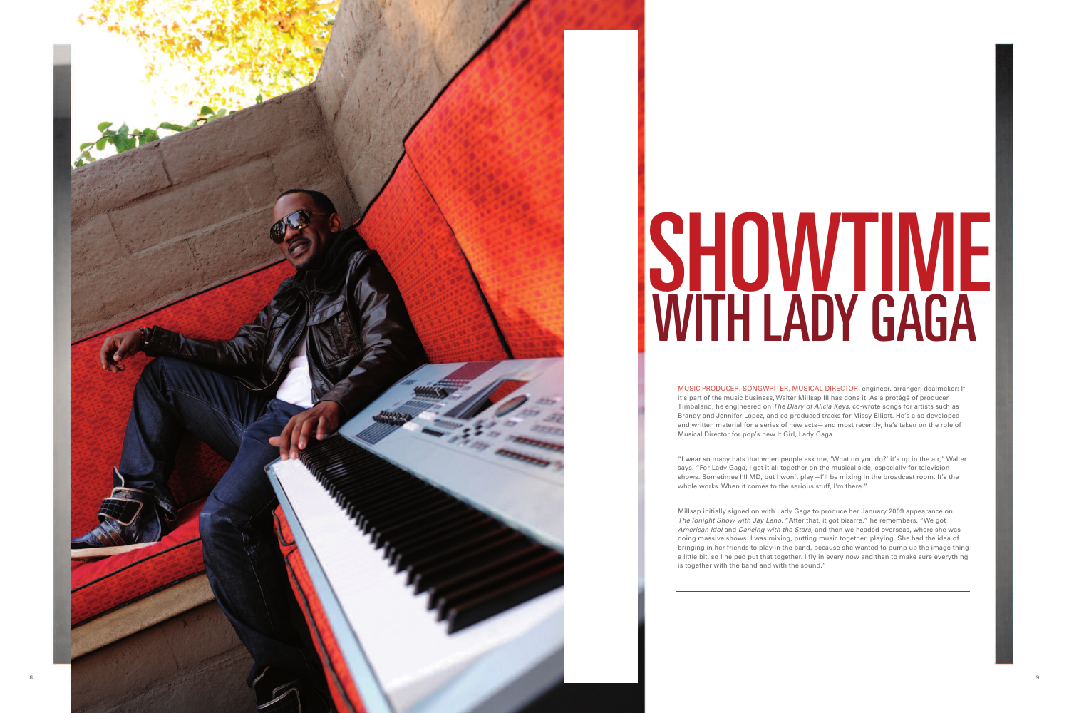

## SHOWTIME **I** WITH LADY GAGA I

Millsap initially signed on with Lady Gaga to produce her January 2009 appearance on The Tonight Show with Jay Leno. "After that, it got bizarre," he remembers. "We got American Idol and Dancing with the Stars, and then we headed overseas, where she was doing massive shows. I was mixing, putting music together, playing. She had the idea of bringing in her friends to play in the band, because she wanted to pump up the image thing a little bit, so I helped put that together. I fly in every now and then to make sure everything is together with the band and with the sound."

MUSIC PRODUCER, SONGWRITER, MUSICAL DIRECTOR, engineer, arranger, dealmaker: If it's part of the music business, Walter Millsap III has done it. As a protégé of producer Timbaland, he engineered on *The Diary of Alicia Keys*, co-wrote songs for artists such as Brandy and Jennifer Lopez, and co-produced tracks for Missy Elliott. He's also developed and written material for a series of new acts-and most recently, he's taken on the role of Musical Director for pop's new It Girl, Lady Gaga.

"I wear so many hats that when people ask me, 'What do you do?' it's up in the air," Walter says. "For Lady Gaga, I get it all together on the musical side, especially for television shows. Sometimes I'll MD, but I won't play–I'll be mixing in the broadcast room. It's the whole works. When it comes to the serious stuff, I'm there."